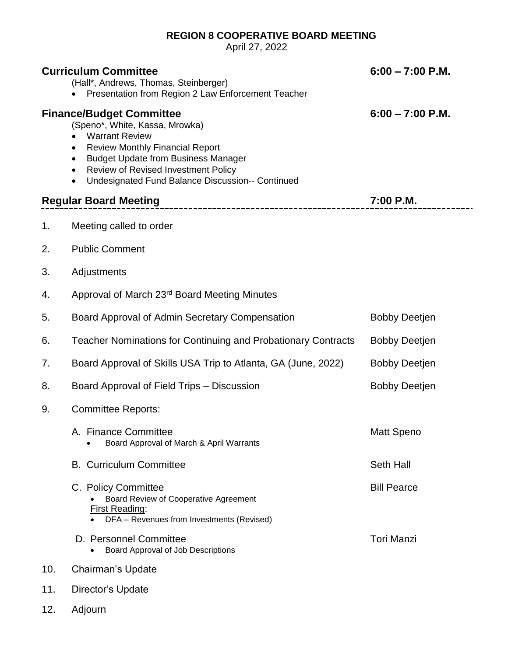## **REGION 8 COOPERATIVE BOARD MEETING**

April 27, 2022

|     | <b>Curriculum Committee</b><br>(Hall*, Andrews, Thomas, Steinberger)<br>Presentation from Region 2 Law Enforcement Teacher                                                                                                                                                                                                                     | $6:00 - 7:00$ P.M.   |
|-----|------------------------------------------------------------------------------------------------------------------------------------------------------------------------------------------------------------------------------------------------------------------------------------------------------------------------------------------------|----------------------|
|     | <b>Finance/Budget Committee</b><br>(Speno*, White, Kassa, Mrowka)<br><b>Warrant Review</b><br>$\bullet$<br><b>Review Monthly Financial Report</b><br>$\bullet$<br><b>Budget Update from Business Manager</b><br>$\bullet$<br>Review of Revised Investment Policy<br>$\bullet$<br>Undesignated Fund Balance Discussion-- Continued<br>$\bullet$ | $6:00 - 7:00$ P.M.   |
|     | <b>Regular Board Meeting</b><br>---------------------------------                                                                                                                                                                                                                                                                              | 7:00 P.M.            |
| 1.  | Meeting called to order                                                                                                                                                                                                                                                                                                                        |                      |
| 2.  | <b>Public Comment</b>                                                                                                                                                                                                                                                                                                                          |                      |
| 3.  | Adjustments                                                                                                                                                                                                                                                                                                                                    |                      |
| 4.  | Approval of March 23rd Board Meeting Minutes                                                                                                                                                                                                                                                                                                   |                      |
| 5.  | Board Approval of Admin Secretary Compensation                                                                                                                                                                                                                                                                                                 | <b>Bobby Deetjen</b> |
| 6.  | <b>Teacher Nominations for Continuing and Probationary Contracts</b>                                                                                                                                                                                                                                                                           | <b>Bobby Deetjen</b> |
| 7.  | Board Approval of Skills USA Trip to Atlanta, GA (June, 2022)                                                                                                                                                                                                                                                                                  | <b>Bobby Deetjen</b> |
| 8.  | Board Approval of Field Trips - Discussion                                                                                                                                                                                                                                                                                                     | <b>Bobby Deetjen</b> |
| 9.  | <b>Committee Reports:</b>                                                                                                                                                                                                                                                                                                                      |                      |
|     | A. Finance Committee<br>Board Approval of March & April Warrants                                                                                                                                                                                                                                                                               | <b>Matt Speno</b>    |
|     | <b>B.</b> Curriculum Committee                                                                                                                                                                                                                                                                                                                 | Seth Hall            |
|     | C. Policy Committee<br>Board Review of Cooperative Agreement<br>First Reading:<br>DFA - Revenues from Investments (Revised)                                                                                                                                                                                                                    | <b>Bill Pearce</b>   |
|     | D. Personnel Committee<br>Board Approval of Job Descriptions                                                                                                                                                                                                                                                                                   | <b>Tori Manzi</b>    |
| 10. | Chairman's Update                                                                                                                                                                                                                                                                                                                              |                      |
| 11. | Director's Update                                                                                                                                                                                                                                                                                                                              |                      |

12. Adjourn